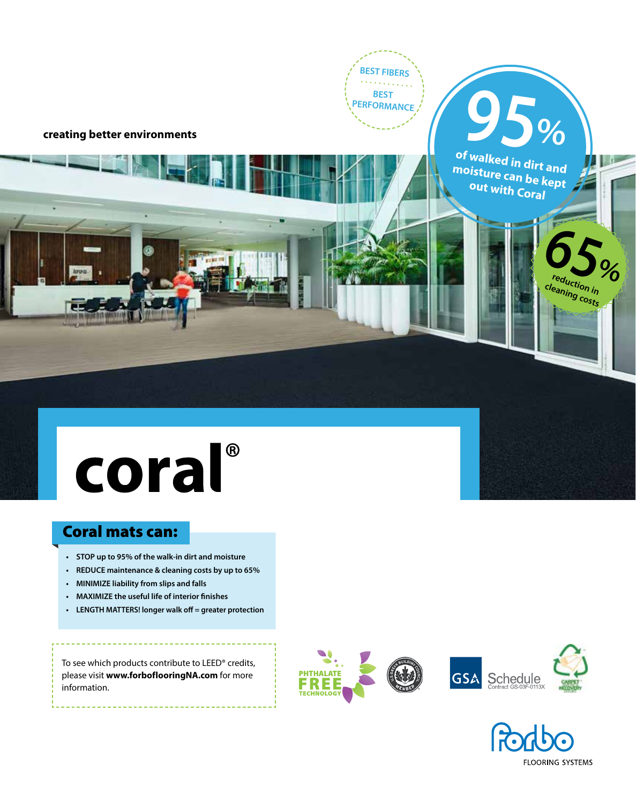**BEST FIBERS BEST PERFORMANCE**

**creating better environments**

**of walked in dirt and moisture can be kept out with Coral**

**95%**

**65reduction in** 

**cleaning costs**

**%**

# coral®

### Coral mats can:

- **• STOP up to 95% of the walk-in dirt and moisture**
- **• REDUCE maintenance & cleaning costs by up to 65%**
- **• MINIMIZE liability from slips and falls**
- **• MAXIMIZE the useful life of interior finishes**
- **• LENGTH MATTERS! longer walk off = greater protection**

To see which products contribute to LEED® credits, please visit **www.forboflooringNA.com** for more information.





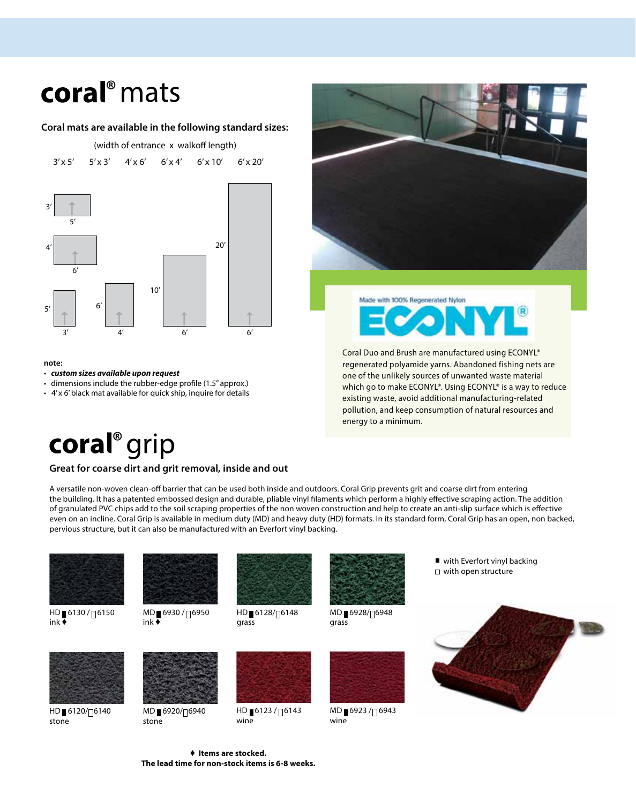## coral<sup>®</sup> mats

#### **Coral mats are available in the following standard sizes:**



#### **note:**

• *custom sizes available upon request* 

- dimensions include the rubber-edge profile (1.5" approx.)
- 4' x 6' black mat available for quick ship, inquire for details



Made with 100% Regenerated Nylon

Coral Duo and Brush are manufactured using ECONYL® regenerated polyamide yarns. Abandoned fishing nets are one of the unlikely sources of unwanted waste material which go to make ECONYL®. Using ECONYL® is a way to reduce existing waste, avoid additional manufacturing-related pollution, and keep consumption of natural resources and energy to a minimum.

### coral<sup>®</sup> grip

#### **Great for coarse dirt and grit removal, inside and out**

A versatile non-woven clean-off barrier that can be used both inside and outdoors. Coral Grip prevents grit and coarse dirt from entering the building. It has a patented embossed design and durable, pliable vinyl filaments which perform a highly effective scraping action. The addition of granulated PVC chips add to the soil scraping properties of the non woven construction and help to create an anti-slip surface which is effective even on an incline. Coral Grip is available in medium duty (MD) and heavy duty (HD) formats. In its standard form, Coral Grip has an open, non backed, pervious structure, but it can also be manufactured with an Everfort vinyl backing.



HD 6130/<sub>76150</sub> ink  $\overline{\bullet}$ 

HD 6120/<sub>76140</sub>

stone



MD 6930/<sub>76950</sub> ink ♦



HD 6128/<sub>76148</sub> grass



MD 6928/<sub>76948</sub> grass

with Everfort vinyl backing □ with open structure





MD 6920/<sub>76940</sub> stone



HD 6123/<sub>0</sub>6143 wine



MD 6923 / 6943 wine

♦ **Items are stocked. The lead time for non-stock items is 6-8 weeks.**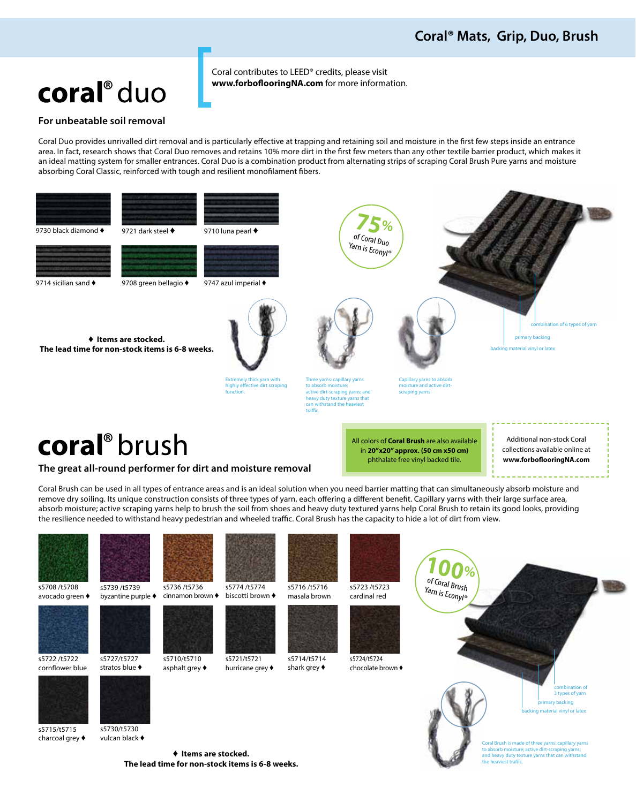### coral<sup>®</sup> duo

Coral contributes to LEED® credits, please visit **www.forboflooringNA.com** for more information.

#### **For unbeatable soil removal**

Coral Duo provides unrivalled dirt removal and is particularly effective at trapping and retaining soil and moisture in the first few steps inside an entrance area. In fact, research shows that Coral Duo removes and retains 10% more dirt in the first few meters than any other textile barrier product, which makes it an ideal matting system for smaller entrances. Coral Duo is a combination product from alternating strips of scraping Coral Brush Pure yarns and moisture absorbing Coral Classic, reinforced with tough and resilient monofilament fibers.



s5715/t5715 charcoal grey ♦ s5730/t5730

vulcan black ♦

♦ **Items are stocked. The lead time for non-stock items is 6-8 weeks.** y backing backing material or later

> ish is made of three yarns: capillary yarn to absorb moisture; active dirt-scraping yarns; and heavy duty texture yarns that can withstand et traffic